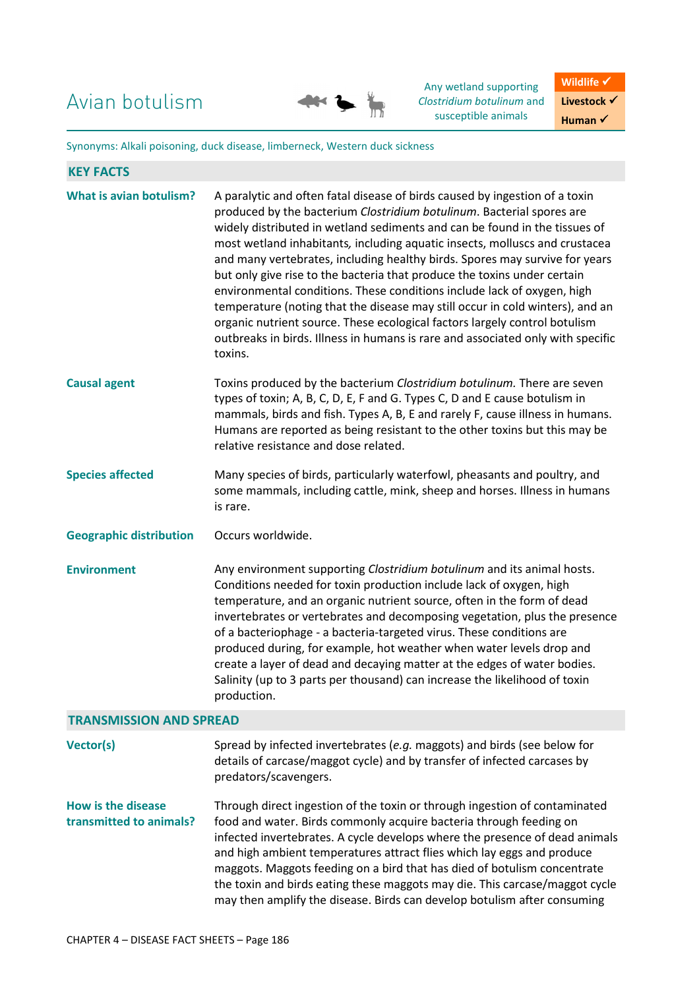Avian botulism



Any wetland supporting *Clostridium botulinum* and susceptible animals

**Wildlife** √ **Livestock** √ **Human** ✔

Synonyms: Alkali poisoning, duck disease, limberneck, Western duck sickness

| <b>KEY FACTS</b>                                     |                                                                                                                                                                                                                                                                                                                                                                                                                                                                                                                                                                                                                                                                                                                                                                                                                      |
|------------------------------------------------------|----------------------------------------------------------------------------------------------------------------------------------------------------------------------------------------------------------------------------------------------------------------------------------------------------------------------------------------------------------------------------------------------------------------------------------------------------------------------------------------------------------------------------------------------------------------------------------------------------------------------------------------------------------------------------------------------------------------------------------------------------------------------------------------------------------------------|
| <b>What is avian botulism?</b>                       | A paralytic and often fatal disease of birds caused by ingestion of a toxin<br>produced by the bacterium Clostridium botulinum. Bacterial spores are<br>widely distributed in wetland sediments and can be found in the tissues of<br>most wetland inhabitants, including aquatic insects, molluscs and crustacea<br>and many vertebrates, including healthy birds. Spores may survive for years<br>but only give rise to the bacteria that produce the toxins under certain<br>environmental conditions. These conditions include lack of oxygen, high<br>temperature (noting that the disease may still occur in cold winters), and an<br>organic nutrient source. These ecological factors largely control botulism<br>outbreaks in birds. Illness in humans is rare and associated only with specific<br>toxins. |
| <b>Causal agent</b>                                  | Toxins produced by the bacterium Clostridium botulinum. There are seven<br>types of toxin; A, B, C, D, E, F and G. Types C, D and E cause botulism in<br>mammals, birds and fish. Types A, B, E and rarely F, cause illness in humans.<br>Humans are reported as being resistant to the other toxins but this may be<br>relative resistance and dose related.                                                                                                                                                                                                                                                                                                                                                                                                                                                        |
| <b>Species affected</b>                              | Many species of birds, particularly waterfowl, pheasants and poultry, and<br>some mammals, including cattle, mink, sheep and horses. Illness in humans<br>is rare.                                                                                                                                                                                                                                                                                                                                                                                                                                                                                                                                                                                                                                                   |
| <b>Geographic distribution</b>                       | Occurs worldwide.                                                                                                                                                                                                                                                                                                                                                                                                                                                                                                                                                                                                                                                                                                                                                                                                    |
| <b>Environment</b>                                   | Any environment supporting Clostridium botulinum and its animal hosts.<br>Conditions needed for toxin production include lack of oxygen, high<br>temperature, and an organic nutrient source, often in the form of dead<br>invertebrates or vertebrates and decomposing vegetation, plus the presence<br>of a bacteriophage - a bacteria-targeted virus. These conditions are<br>produced during, for example, hot weather when water levels drop and<br>create a layer of dead and decaying matter at the edges of water bodies.<br>Salinity (up to 3 parts per thousand) can increase the likelihood of toxin<br>production.                                                                                                                                                                                       |
| <b>TRANSMISSION AND SPREAD</b>                       |                                                                                                                                                                                                                                                                                                                                                                                                                                                                                                                                                                                                                                                                                                                                                                                                                      |
| <b>Vector(s)</b>                                     | Spread by infected invertebrates (e.g. maggots) and birds (see below for<br>details of carcase/maggot cycle) and by transfer of infected carcases by<br>predators/scavengers.                                                                                                                                                                                                                                                                                                                                                                                                                                                                                                                                                                                                                                        |
| <b>How is the disease</b><br>transmitted to animals? | Through direct ingestion of the toxin or through ingestion of contaminated<br>food and water. Birds commonly acquire bacteria through feeding on<br>infected invertebrates. A cycle develops where the presence of dead animals<br>and high ambient temperatures attract flies which lay eggs and produce<br>maggots. Maggots feeding on a bird that has died of botulism concentrate<br>the toxin and birds eating these maggots may die. This carcase/maggot cycle<br>may then amplify the disease. Birds can develop botulism after consuming                                                                                                                                                                                                                                                                     |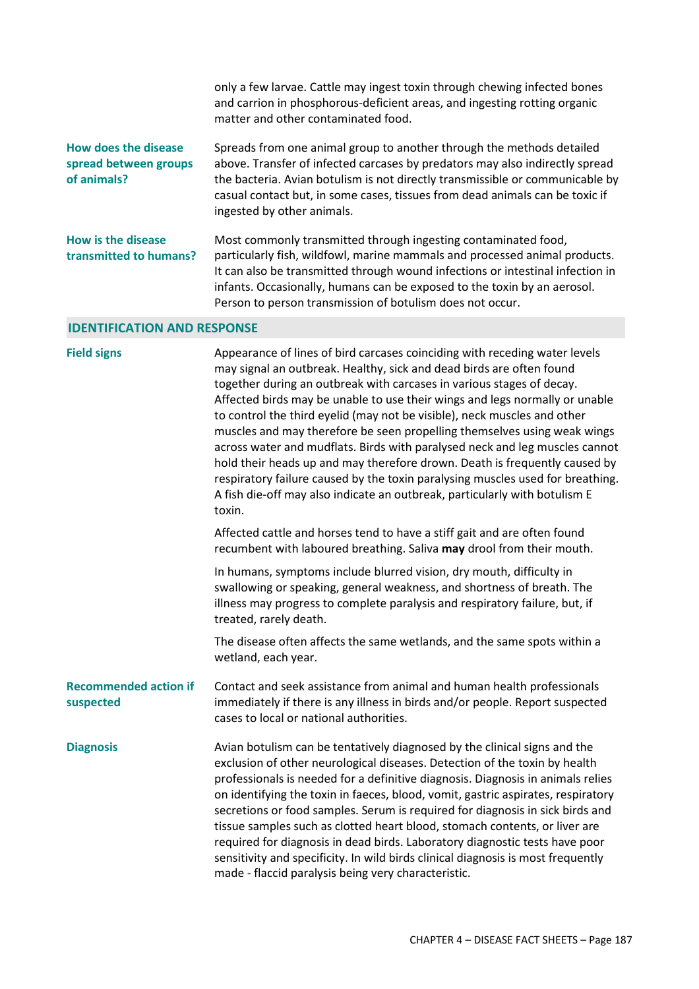|                                                              | only a few larvae. Cattle may ingest toxin through chewing infected bones<br>and carrion in phosphorous-deficient areas, and ingesting rotting organic<br>matter and other contaminated food.                                                                                                                                                                           |
|--------------------------------------------------------------|-------------------------------------------------------------------------------------------------------------------------------------------------------------------------------------------------------------------------------------------------------------------------------------------------------------------------------------------------------------------------|
| How does the disease<br>spread between groups<br>of animals? | Spreads from one animal group to another through the methods detailed<br>above. Transfer of infected carcases by predators may also indirectly spread<br>the bacteria. Avian botulism is not directly transmissible or communicable by<br>casual contact but, in some cases, tissues from dead animals can be toxic if<br>ingested by other animals.                    |
| How is the disease<br>transmitted to humans?                 | Most commonly transmitted through ingesting contaminated food,<br>particularly fish, wildfowl, marine mammals and processed animal products.<br>It can also be transmitted through wound infections or intestinal infection in<br>infants. Occasionally, humans can be exposed to the toxin by an aerosol.<br>Person to person transmission of botulism does not occur. |

## **IDENTIFICATION AND RESPONSE**

| <b>Field signs</b>                        | Appearance of lines of bird carcases coinciding with receding water levels<br>may signal an outbreak. Healthy, sick and dead birds are often found<br>together during an outbreak with carcases in various stages of decay.<br>Affected birds may be unable to use their wings and legs normally or unable<br>to control the third eyelid (may not be visible), neck muscles and other<br>muscles and may therefore be seen propelling themselves using weak wings<br>across water and mudflats. Birds with paralysed neck and leg muscles cannot<br>hold their heads up and may therefore drown. Death is frequently caused by<br>respiratory failure caused by the toxin paralysing muscles used for breathing.<br>A fish die-off may also indicate an outbreak, particularly with botulism E<br>toxin. |
|-------------------------------------------|-----------------------------------------------------------------------------------------------------------------------------------------------------------------------------------------------------------------------------------------------------------------------------------------------------------------------------------------------------------------------------------------------------------------------------------------------------------------------------------------------------------------------------------------------------------------------------------------------------------------------------------------------------------------------------------------------------------------------------------------------------------------------------------------------------------|
|                                           | Affected cattle and horses tend to have a stiff gait and are often found<br>recumbent with laboured breathing. Saliva may drool from their mouth.                                                                                                                                                                                                                                                                                                                                                                                                                                                                                                                                                                                                                                                         |
|                                           | In humans, symptoms include blurred vision, dry mouth, difficulty in<br>swallowing or speaking, general weakness, and shortness of breath. The<br>illness may progress to complete paralysis and respiratory failure, but, if<br>treated, rarely death.                                                                                                                                                                                                                                                                                                                                                                                                                                                                                                                                                   |
|                                           | The disease often affects the same wetlands, and the same spots within a<br>wetland, each year.                                                                                                                                                                                                                                                                                                                                                                                                                                                                                                                                                                                                                                                                                                           |
| <b>Recommended action if</b><br>suspected | Contact and seek assistance from animal and human health professionals<br>immediately if there is any illness in birds and/or people. Report suspected<br>cases to local or national authorities.                                                                                                                                                                                                                                                                                                                                                                                                                                                                                                                                                                                                         |
| <b>Diagnosis</b>                          | Avian botulism can be tentatively diagnosed by the clinical signs and the<br>exclusion of other neurological diseases. Detection of the toxin by health<br>professionals is needed for a definitive diagnosis. Diagnosis in animals relies<br>on identifying the toxin in faeces, blood, vomit, gastric aspirates, respiratory<br>secretions or food samples. Serum is required for diagnosis in sick birds and<br>tissue samples such as clotted heart blood, stomach contents, or liver are<br>required for diagnosis in dead birds. Laboratory diagnostic tests have poor<br>sensitivity and specificity. In wild birds clinical diagnosis is most frequently<br>made - flaccid paralysis being very characteristic.                                                                                   |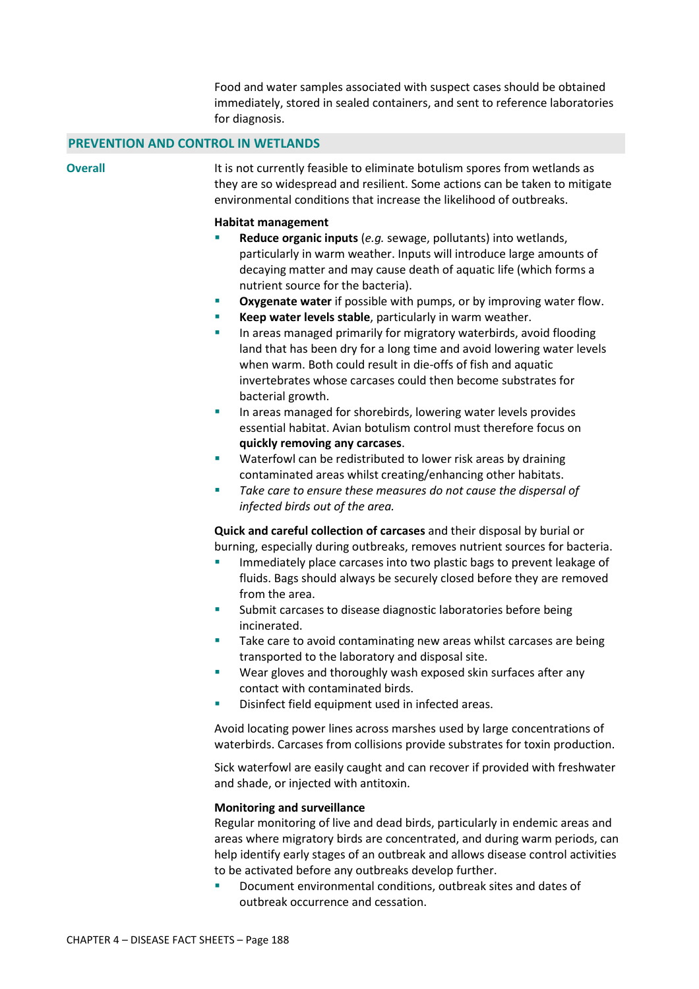Food and water samples associated with suspect cases should be obtained immediately, stored in sealed containers, and sent to reference laboratories for diagnosis.

## **PREVENTION AND CONTROL IN WETLANDS**

**Overall** It is not currently feasible to eliminate botulism spores from wetlands as they are so widespread and resilient. Some actions can be taken to mitigate environmental conditions that increase the likelihood of outbreaks.

## **Habitat management**

- **Reduce organic inputs** (*e.g.* sewage, pollutants) into wetlands, particularly in warm weather. Inputs will introduce large amounts of decaying matter and may cause death of aquatic life (which forms a nutrient source for the bacteria).
- **Oxygenate water** if possible with pumps, or by improving water flow.
- **Keep water levels stable**, particularly in warm weather.
- **In areas managed primarily for migratory waterbirds, avoid flooding** land that has been dry for a long time and avoid lowering water levels when warm. Both could result in die-offs of fish and aquatic invertebrates whose carcases could then become substrates for bacterial growth.
- **In areas managed for shorebirds, lowering water levels provides** essential habitat. Avian botulism control must therefore focus on **quickly removing any carcases**.
- Waterfowl can be redistributed to lower risk areas by draining contaminated areas whilst creating/enhancing other habitats.
- *Take care to ensure these measures do not cause the dispersal of infected birds out of the area.*

**Quick and careful collection of carcases** and their disposal by burial or burning, especially during outbreaks, removes nutrient sources for bacteria.

- Immediately place carcases into two plastic bags to prevent leakage of fluids. Bags should always be securely closed before they are removed from the area.
- **Submit carcases to disease diagnostic laboratories before being** incinerated.
- Take care to avoid contaminating new areas whilst carcases are being transported to the laboratory and disposal site.
- Wear gloves and thoroughly wash exposed skin surfaces after any contact with contaminated birds.
- Disinfect field equipment used in infected areas.

Avoid locating power lines across marshes used by large concentrations of waterbirds. Carcases from collisions provide substrates for toxin production.

Sick waterfowl are easily caught and can recover if provided with freshwater and shade, or injected with antitoxin.

## **Monitoring and surveillance**

Regular monitoring of live and dead birds, particularly in endemic areas and areas where migratory birds are concentrated, and during warm periods, can help identify early stages of an outbreak and allows disease control activities to be activated before any outbreaks develop further.

 Document environmental conditions, outbreak sites and dates of outbreak occurrence and cessation.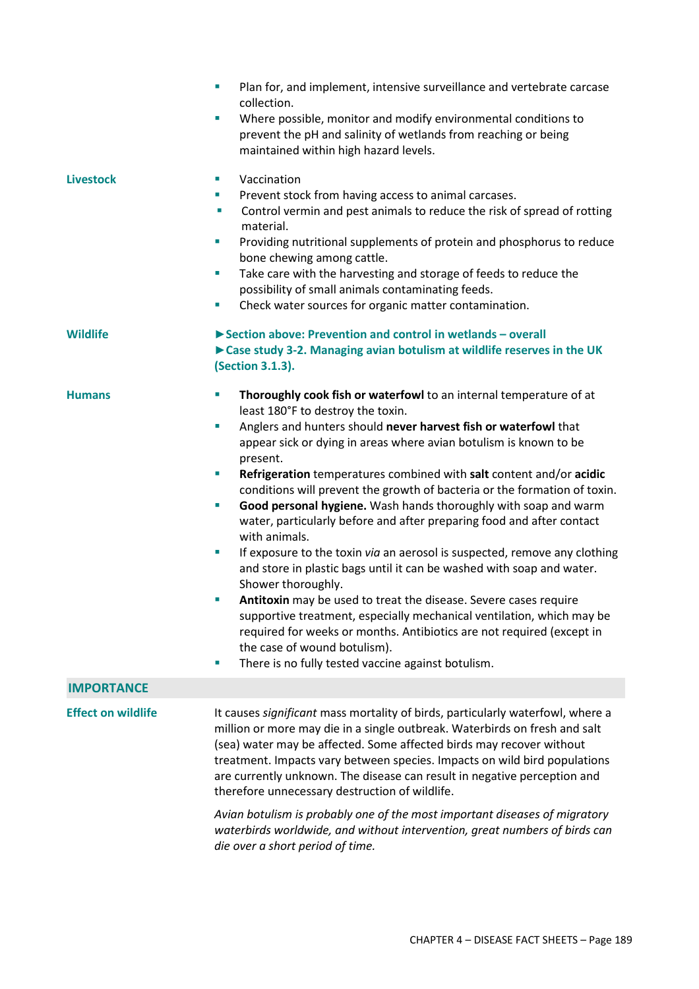|                           | Plan for, and implement, intensive surveillance and vertebrate carcase<br>×<br>collection.<br>Where possible, monitor and modify environmental conditions to<br>×<br>prevent the pH and salinity of wetlands from reaching or being<br>maintained within high hazard levels.                                                                                                                                                                                                                                                                                                                                                                                                                                                                                                                                                                                                                                                                                                                                                                                                                                                                                                           |
|---------------------------|----------------------------------------------------------------------------------------------------------------------------------------------------------------------------------------------------------------------------------------------------------------------------------------------------------------------------------------------------------------------------------------------------------------------------------------------------------------------------------------------------------------------------------------------------------------------------------------------------------------------------------------------------------------------------------------------------------------------------------------------------------------------------------------------------------------------------------------------------------------------------------------------------------------------------------------------------------------------------------------------------------------------------------------------------------------------------------------------------------------------------------------------------------------------------------------|
| <b>Livestock</b>          | Vaccination<br>ш<br>Prevent stock from having access to animal carcases.<br>ш<br>Control vermin and pest animals to reduce the risk of spread of rotting<br>×<br>material.<br>Providing nutritional supplements of protein and phosphorus to reduce<br>×<br>bone chewing among cattle.<br>Take care with the harvesting and storage of feeds to reduce the<br>$\mathcal{L}_{\mathcal{A}}$<br>possibility of small animals contaminating feeds.<br>Check water sources for organic matter contamination.<br>$\mathcal{L}_{\mathcal{A}}$                                                                                                                                                                                                                                                                                                                                                                                                                                                                                                                                                                                                                                                 |
| <b>Wildlife</b>           | Section above: Prevention and control in wetlands - overall<br>Case study 3-2. Managing avian botulism at wildlife reserves in the UK<br>(Section 3.1.3).                                                                                                                                                                                                                                                                                                                                                                                                                                                                                                                                                                                                                                                                                                                                                                                                                                                                                                                                                                                                                              |
| <b>Humans</b>             | Thoroughly cook fish or waterfowl to an internal temperature of at<br>$\sim$<br>least 180°F to destroy the toxin.<br>Anglers and hunters should never harvest fish or waterfowl that<br>п<br>appear sick or dying in areas where avian botulism is known to be<br>present.<br>Refrigeration temperatures combined with salt content and/or acidic<br>$\mathcal{L}_{\mathcal{A}}$<br>conditions will prevent the growth of bacteria or the formation of toxin.<br>Good personal hygiene. Wash hands thoroughly with soap and warm<br>$\mathcal{L}_{\mathcal{A}}$<br>water, particularly before and after preparing food and after contact<br>with animals.<br>If exposure to the toxin via an aerosol is suspected, remove any clothing<br>T,<br>and store in plastic bags until it can be washed with soap and water.<br>Shower thoroughly.<br>Antitoxin may be used to treat the disease. Severe cases require<br>supportive treatment, especially mechanical ventilation, which may be<br>required for weeks or months. Antibiotics are not required (except in<br>the case of wound botulism).<br>There is no fully tested vaccine against botulism.<br>$\mathcal{L}_{\mathcal{A}}$ |
| <b>IMPORTANCE</b>         |                                                                                                                                                                                                                                                                                                                                                                                                                                                                                                                                                                                                                                                                                                                                                                                                                                                                                                                                                                                                                                                                                                                                                                                        |
| <b>Effect on wildlife</b> | It causes significant mass mortality of birds, particularly waterfowl, where a<br>million or more may die in a single outbreak. Waterbirds on fresh and salt<br>(sea) water may be affected. Some affected birds may recover without<br>treatment. Impacts vary between species. Impacts on wild bird populations<br>are currently unknown. The disease can result in negative perception and<br>therefore unnecessary destruction of wildlife.<br>Avian botulism is probably one of the most important diseases of migratory<br>waterbirds worldwide, and without intervention, great numbers of birds can<br>die over a short period of time.                                                                                                                                                                                                                                                                                                                                                                                                                                                                                                                                        |